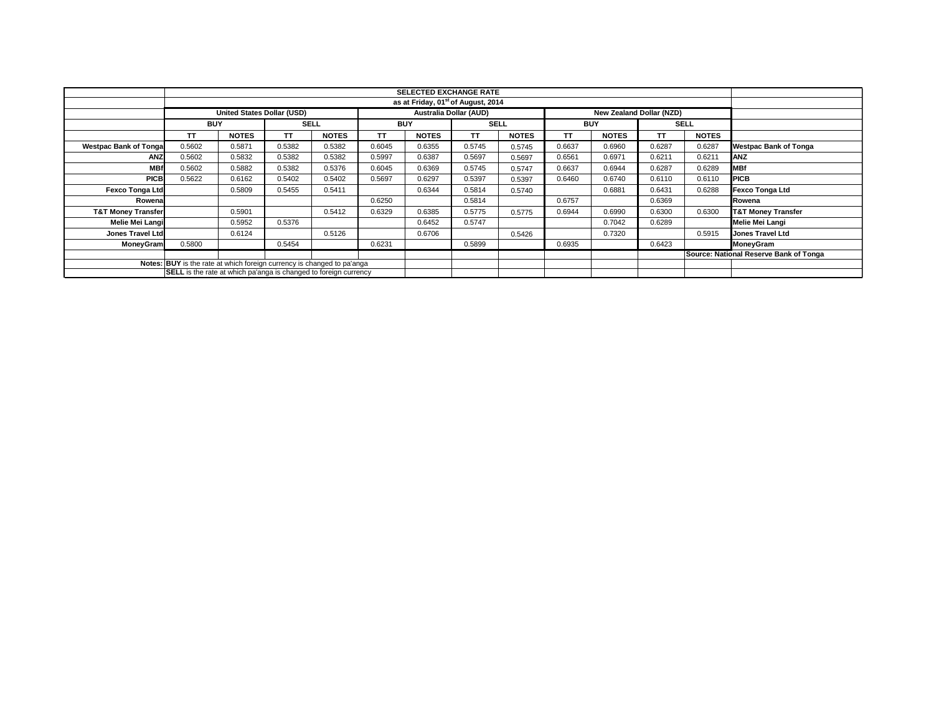|                               |                                                                         |                                                      |             |              |            | <b>SELECTED EXCHANGE RATE</b>                  |             |              |            |                          |        |              |                                        |
|-------------------------------|-------------------------------------------------------------------------|------------------------------------------------------|-------------|--------------|------------|------------------------------------------------|-------------|--------------|------------|--------------------------|--------|--------------|----------------------------------------|
|                               |                                                                         |                                                      |             |              |            | as at Friday, 01 <sup>st</sup> of August, 2014 |             |              |            |                          |        |              |                                        |
|                               |                                                                         | Australia Dollar (AUD)<br>United States Dollar (USD) |             |              |            |                                                |             |              |            | New Zealand Dollar (NZD) |        |              |                                        |
|                               | <b>BUY</b>                                                              |                                                      | <b>SELL</b> |              | <b>BUY</b> |                                                | <b>SELL</b> |              | <b>BUY</b> |                          |        | <b>SELL</b>  |                                        |
|                               | <b>TT</b>                                                               | <b>NOTES</b>                                         | TΤ          | <b>NOTES</b> | <b>TT</b>  | <b>NOTES</b>                                   | TΤ          | <b>NOTES</b> | TΤ         | <b>NOTES</b>             | TΤ     | <b>NOTES</b> |                                        |
| <b>Westpac Bank of Tonga</b>  | 0.5602                                                                  | 0.5871                                               | 0.5382      | 0.5382       | 0.6045     | 0.6355                                         | 0.5745      | 0.5745       | 0.6637     | 0.6960                   | 0.6287 | 0.6287       | <b>Westpac Bank of Tonga</b>           |
| ANZ                           | 0.5602                                                                  | 0.5832                                               | 0.5382      | 0.5382       | 0.5997     | 0.6387                                         | 0.5697      | 0.5697       | 0.6561     | 0.6971                   | 0.6211 | 0.6211       | <b>ANZ</b>                             |
| <b>MBf</b>                    | 0.5602                                                                  | 0.5882                                               | 0.5382      | 0.5376       | 0.6045     | 0.6369                                         | 0.5745      | 0.5747       | 0.6637     | 0.6944                   | 0.6287 | 0.6289       | <b>MBf</b>                             |
| <b>PICB</b>                   | 0.5622                                                                  | 0.6162                                               | 0.5402      | 0.5402       | 0.5697     | 0.6297                                         | 0.5397      | 0.5397       | 0.6460     | 0.6740                   | 0.6110 | 0.6110       | <b>PICB</b>                            |
| <b>Fexco Tonga Ltd</b>        |                                                                         | 0.5809                                               | 0.5455      | 0.5411       |            | 0.6344                                         | 0.5814      | 0.5740       |            | 0.6881                   | 0.6431 | 0.6288       | <b>Fexco Tonga Ltd</b>                 |
| Rowena                        |                                                                         |                                                      |             |              | 0.6250     |                                                | 0.5814      |              | 0.6757     |                          | 0.6369 |              | Rowena                                 |
| <b>T&amp;T Money Transfer</b> |                                                                         | 0.5901                                               |             | 0.5412       | 0.6329     | 0.6385                                         | 0.5775      | 0.5775       | 0.6944     | 0.6990                   | 0.6300 | 0.6300       | <b>T&amp;T Money Transfer</b>          |
| Melie Mei Langi               |                                                                         | 0.5952                                               | 0.5376      |              |            | 0.6452                                         | 0.5747      |              |            | 0.7042                   | 0.6289 |              | Melie Mei Langi                        |
| <b>Jones Travel Ltd</b>       |                                                                         | 0.6124                                               |             | 0.5126       |            | 0.6706                                         |             | 0.5426       |            | 0.7320                   |        | 0.5915       | Jones Travel Ltd                       |
| <b>MoneyGram</b>              | 0.5800                                                                  |                                                      | 0.5454      |              | 0.6231     |                                                | 0.5899      |              | 0.6935     |                          | 0.6423 |              | MoneyGram                              |
|                               |                                                                         |                                                      |             |              |            |                                                |             |              |            |                          |        |              | Source: National Reserve Bank of Tonga |
|                               | Notes: BUY is the rate at which foreign currency is changed to pa'anga  |                                                      |             |              |            |                                                |             |              |            |                          |        |              |                                        |
|                               | <b>SELL</b> is the rate at which pa'anga is changed to foreign currency |                                                      |             |              |            |                                                |             |              |            |                          |        |              |                                        |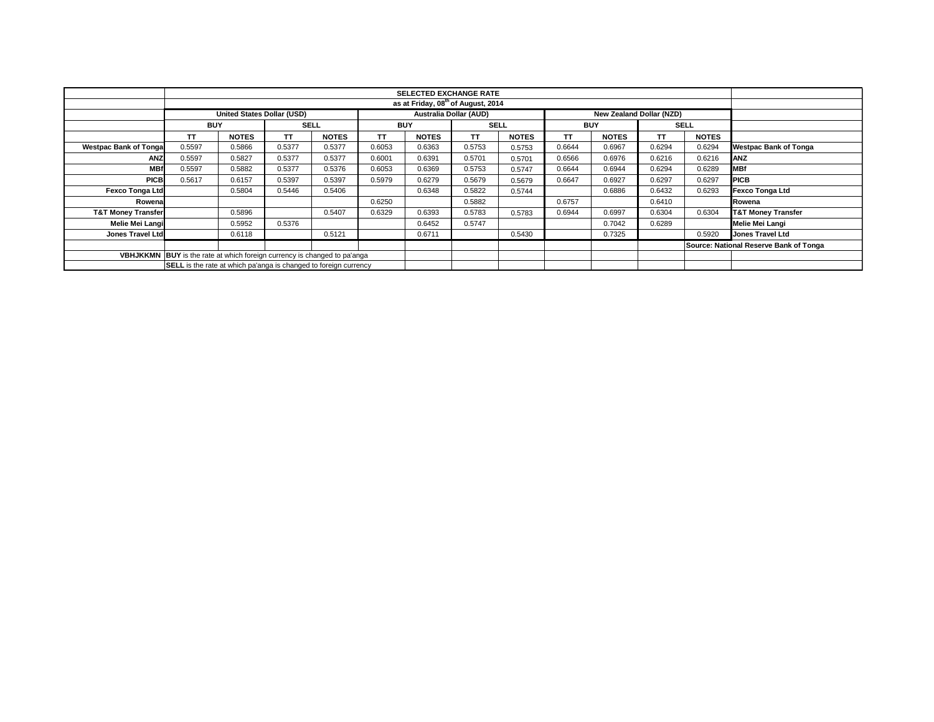|                                                                                 |                                                                         | United States Dollar (USD) |             |              |            |              | <b>Australia Dollar (AUD)</b> |              |            | New Zealand Dollar (NZD) |             |              |                                        |
|---------------------------------------------------------------------------------|-------------------------------------------------------------------------|----------------------------|-------------|--------------|------------|--------------|-------------------------------|--------------|------------|--------------------------|-------------|--------------|----------------------------------------|
|                                                                                 | <b>BUY</b>                                                              |                            | <b>SELL</b> |              | <b>BUY</b> |              | <b>SELL</b>                   |              | <b>BUY</b> |                          | <b>SELL</b> |              |                                        |
|                                                                                 | ΤT                                                                      | <b>NOTES</b>               | TΤ          | <b>NOTES</b> | TΤ         | <b>NOTES</b> | TΤ                            | <b>NOTES</b> | TΤ         | <b>NOTES</b>             | тτ          | <b>NOTES</b> |                                        |
| <b>Westpac Bank of Tongal</b>                                                   | 0.5597                                                                  | 0.5866                     | 0.5377      | 0.5377       | 0.6053     | 0.6363       | 0.5753                        | 0.5753       | 0.6644     | 0.6967                   | 0.6294      | 0.6294       | <b>Westpac Bank of Tonga</b>           |
| <b>ANZ</b>                                                                      | 0.5597                                                                  | 0.5827                     | 0.5377      | 0.5377       | 0.6001     | 0.6391       | 0.5701                        | 0.5701       | 0.6566     | 0.6976                   | 0.6216      | 0.6216       | <b>ANZ</b>                             |
| <b>MBf</b>                                                                      | 0.5597                                                                  | 0.5882                     | 0.5377      | 0.5376       | 0.6053     | 0.6369       | 0.5753                        | 0.5747       | 0.6644     | 0.6944                   | 0.6294      | 0.6289       | <b>MBf</b>                             |
| <b>PICB</b>                                                                     | 0.5617                                                                  | 0.6157                     | 0.5397      | 0.5397       | 0.5979     | 0.6279       | 0.5679                        | 0.5679       | 0.6647     | 0.6927                   | 0.6297      | 0.6297       | <b>PICB</b>                            |
| Fexco Tonga Ltd                                                                 |                                                                         | 0.5804                     | 0.5446      | 0.5406       |            | 0.6348       | 0.5822                        | 0.5744       |            | 0.6886                   | 0.6432      | 0.6293       | <b>Fexco Tonga Ltd</b>                 |
| Rowena                                                                          |                                                                         |                            |             |              | 0.6250     |              | 0.5882                        |              | 0.6757     |                          | 0.6410      |              | Rowena                                 |
| <b>T&amp;T Money Transfer</b>                                                   |                                                                         | 0.5896                     |             | 0.5407       | 0.6329     | 0.6393       | 0.5783                        | 0.5783       | 0.6944     | 0.6997                   | 0.6304      | 0.6304       | <b>T&amp;T Money Transfer</b>          |
| Melie Mei Langi                                                                 |                                                                         | 0.5952                     | 0.5376      |              |            | 0.6452       | 0.5747                        |              |            | 0.7042                   | 0.6289      |              | Melie Mei Langi                        |
| Jones Travel Ltd                                                                |                                                                         | 0.6118                     |             | 0.5121       |            | 0.6711       |                               | 0.5430       |            | 0.7325                   |             | 0.5920       | <b>Jones Travel Ltd</b>                |
|                                                                                 |                                                                         |                            |             |              |            |              |                               |              |            |                          |             |              | Source: National Reserve Bank of Tonga |
| <b>VBHJKKMN BUY</b> is the rate at which foreign currency is changed to pa'anga |                                                                         |                            |             |              |            |              |                               |              |            |                          |             |              |                                        |
|                                                                                 | <b>SELL</b> is the rate at which pa'anga is changed to foreign currency |                            |             |              |            |              |                               |              |            |                          |             |              |                                        |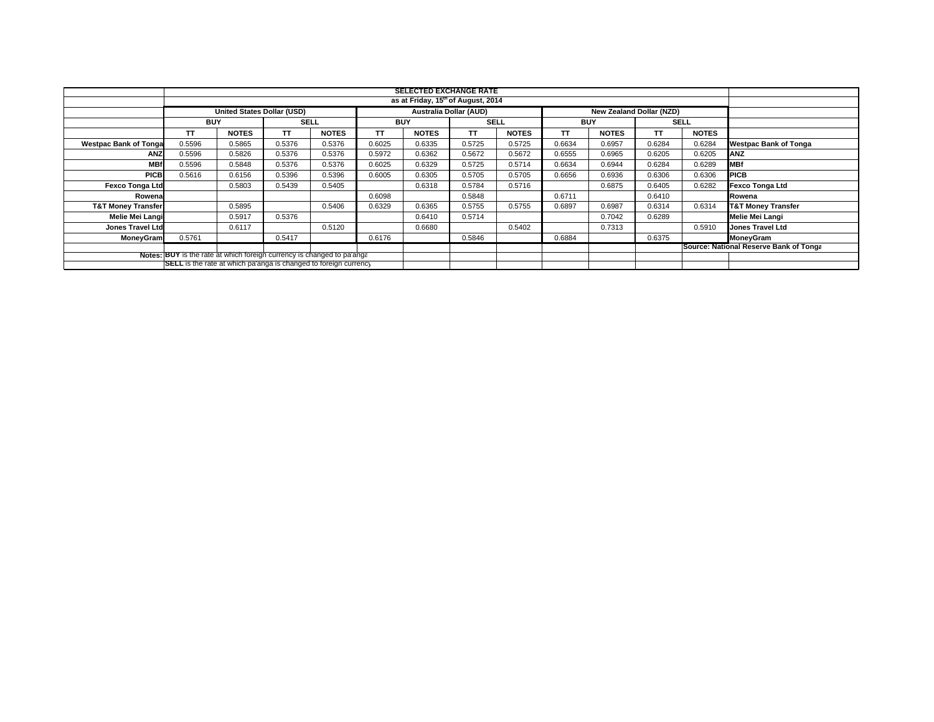|                               |                                                                         |              |             |              |            | <b>SELECTED EXCHANGE RATE</b>                  |             |              |            |                                        |             |              |                               |
|-------------------------------|-------------------------------------------------------------------------|--------------|-------------|--------------|------------|------------------------------------------------|-------------|--------------|------------|----------------------------------------|-------------|--------------|-------------------------------|
|                               |                                                                         |              |             |              |            | as at Friday, 15 <sup>th</sup> of August, 2014 |             |              |            |                                        |             |              |                               |
|                               | United States Dollar (USD)                                              |              |             |              |            | <b>Australia Dollar (AUD)</b>                  |             |              |            | New Zealand Dollar (NZD)               |             |              |                               |
|                               | <b>BUY</b>                                                              |              | <b>SELL</b> |              | <b>BUY</b> |                                                | <b>SELL</b> |              | <b>BUY</b> |                                        | <b>SELL</b> |              |                               |
|                               | TΤ                                                                      | <b>NOTES</b> | <b>TT</b>   | <b>NOTES</b> | TΤ         | <b>NOTES</b>                                   | TΤ          | <b>NOTES</b> | TΤ         | <b>NOTES</b>                           | TΤ          | <b>NOTES</b> |                               |
| <b>Westpac Bank of Tongal</b> | 0.5596                                                                  | 0.5865       | 0.5376      | 0.5376       | 0.6025     | 0.6335                                         | 0.5725      | 0.5725       | 0.6634     | 0.6957                                 | 0.6284      | 0.6284       | <b>Westpac Bank of Tonga</b>  |
| ANZ                           | 0.5596                                                                  | 0.5826       | 0.5376      | 0.5376       | 0.5972     | 0.6362                                         | 0.5672      | 0.5672       | 0.6555     | 0.6965                                 | 0.6205      | 0.6205       | <b>ANZ</b>                    |
| <b>MBf</b>                    | 0.5596                                                                  | 0.5848       | 0.5376      | 0.5376       | 0.6025     | 0.6329                                         | 0.5725      | 0.5714       | 0.6634     | 0.6944                                 | 0.6284      | 0.6289       | <b>MBf</b>                    |
| <b>PICB</b>                   | 0.5616                                                                  | 0.6156       | 0.5396      | 0.5396       | 0.6005     | 0.6305                                         | 0.5705      | 0.5705       | 0.6656     | 0.6936                                 | 0.6306      | 0.6306       | <b>PICB</b>                   |
| <b>Fexco Tonga Ltd</b>        |                                                                         | 0.5803       | 0.5439      | 0.5405       |            | 0.6318                                         | 0.5784      | 0.5716       |            | 0.6875                                 | 0.6405      | 0.6282       | Fexco Tonga Ltd               |
| Rowena                        |                                                                         |              |             |              | 0.6098     |                                                | 0.5848      |              | 0.6711     |                                        | 0.6410      |              | Rowena                        |
| <b>T&amp;T Money Transfer</b> |                                                                         | 0.5895       |             | 0.5406       | 0.6329     | 0.6365                                         | 0.5755      | 0.5755       | 0.6897     | 0.6987                                 | 0.6314      | 0.6314       | <b>T&amp;T Money Transfer</b> |
| Melie Mei Langi               |                                                                         | 0.5917       | 0.5376      |              |            | 0.6410                                         | 0.5714      |              |            | 0.7042                                 | 0.6289      |              | <b>Melie Mei Langi</b>        |
| <b>Jones Travel Ltd</b>       |                                                                         | 0.6117       |             | 0.5120       |            | 0.6680                                         |             | 0.5402       |            | 0.7313                                 |             | 0.5910       | <b>Jones Travel Ltd</b>       |
| MoneyGram                     | 0.5761                                                                  |              | 0.5417      |              | 0.6176     |                                                | 0.5846      |              | 0.6884     |                                        | 0.6375      |              | <b>MoneyGram</b>              |
|                               |                                                                         |              |             |              |            |                                                |             |              |            | Source: National Reserve Bank of Tonga |             |              |                               |
|                               | Notes: BUY is the rate at which foreign currency is changed to pa'ange  |              |             |              |            |                                                |             |              |            |                                        |             |              |                               |
|                               | <b>SELL</b> is the rate at which pa'anga is changed to foreign currency |              |             |              |            |                                                |             |              |            |                                        |             |              |                               |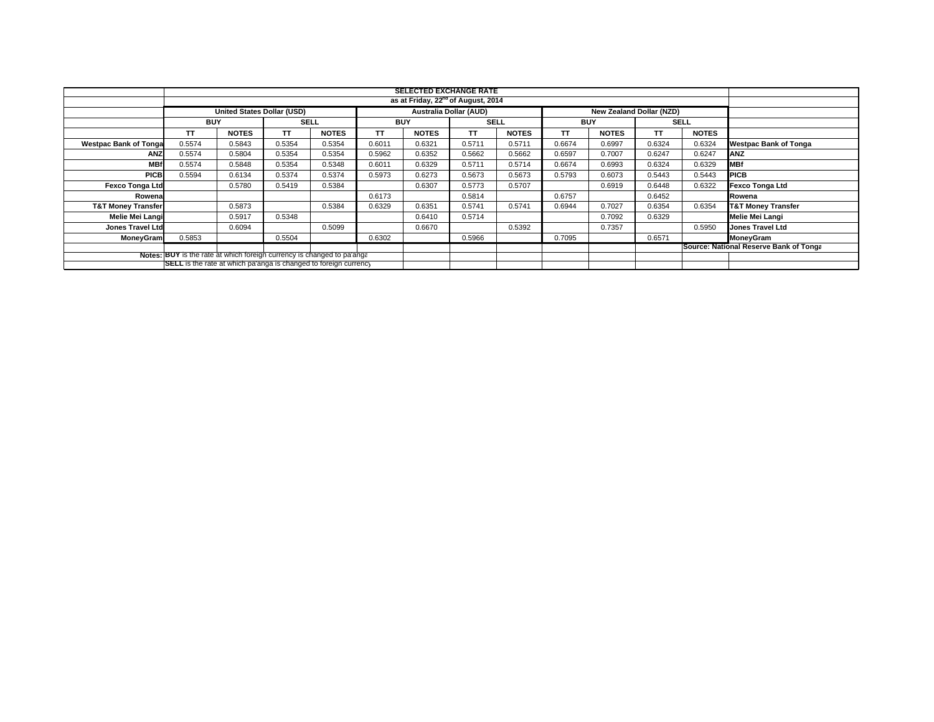|                               |                                                                         | <b>SELECTED EXCHANGE RATE</b><br>as at Friday, 22 <sup>nd</sup> of August, 2014<br>Australia Dollar (AUD)<br>United States Dollar (USD)<br>New Zealand Dollar (NZD)<br><b>BUY</b><br><b>BUY</b><br><b>SELL</b><br><b>SELL</b><br><b>BUY</b><br><b>SELL</b><br><b>NOTES</b><br>TΤ<br>TΤ<br><b>NOTES</b><br>TΤ<br><b>NOTES</b><br>TΤ<br><b>NOTES</b><br>TΤ<br><b>NOTES</b><br><b>NOTES</b><br>TΤ<br>0.5574<br>0.5354<br>0.6011<br>0.6321<br>0.5711<br>0.6997<br>0.6324<br>0.6324<br><b>Westpac Bank of Tonga</b><br>0.5843<br>0.5354<br>0.5711<br>0.6674<br>0.5354<br>0.5962<br>0.6352<br>0.5662<br>0.6597<br>0.7007<br>0.6247<br>0.6247<br><b>ANZ</b><br>0.5574<br>0.5804<br>0.5662<br>0.5354<br><b>MBf</b><br>0.6329<br>0.6993<br>0.6329<br>0.5574<br>0.5848<br>0.5348<br>0.6011<br>0.5711<br>0.6674<br>0.6324<br>0.5354<br>0.5714<br><b>PICB</b><br>0.6273<br>0.5594<br>0.5374<br>0.5973<br>0.5673<br>0.5673<br>0.5793<br>0.6073<br>0.5443<br>0.5443<br>0.6134<br>0.5374<br>Fexco Tonga Ltd<br>0.5384<br>0.6307<br>0.5773<br>0.5707<br>0.6919<br>0.6322<br>0.5780<br>0.5419<br>0.6448<br>0.6173<br>0.6757<br>0.5814<br>0.6452<br>Rowena<br>0.6329<br>0.6944<br>0.7027<br>0.5873<br>0.5384<br>0.6351<br>0.5741<br>0.5741<br>0.6354<br>0.6354<br><b>T&amp;T Money Transfer</b><br>0.5917<br>0.7092<br>0.6329<br>Melie Mei Langi<br>0.5348<br>0.6410<br>0.5714<br>0.5099<br>0.5392<br>0.7357<br>0.5950<br><b>Jones Travel Ltd</b><br>0.6094<br>0.6670<br>0.5853<br>0.6302<br>0.5966<br>0.7095<br>0.6571<br>0.5504<br>MoneyGram |  |  |  |  |  |  |  |  |                                        |
|-------------------------------|-------------------------------------------------------------------------|------------------------------------------------------------------------------------------------------------------------------------------------------------------------------------------------------------------------------------------------------------------------------------------------------------------------------------------------------------------------------------------------------------------------------------------------------------------------------------------------------------------------------------------------------------------------------------------------------------------------------------------------------------------------------------------------------------------------------------------------------------------------------------------------------------------------------------------------------------------------------------------------------------------------------------------------------------------------------------------------------------------------------------------------------------------------------------------------------------------------------------------------------------------------------------------------------------------------------------------------------------------------------------------------------------------------------------------------------------------------------------------------------------------------------------------------------------------------------------------------------------------------------|--|--|--|--|--|--|--|--|----------------------------------------|
|                               |                                                                         |                                                                                                                                                                                                                                                                                                                                                                                                                                                                                                                                                                                                                                                                                                                                                                                                                                                                                                                                                                                                                                                                                                                                                                                                                                                                                                                                                                                                                                                                                                                              |  |  |  |  |  |  |  |  |                                        |
|                               |                                                                         |                                                                                                                                                                                                                                                                                                                                                                                                                                                                                                                                                                                                                                                                                                                                                                                                                                                                                                                                                                                                                                                                                                                                                                                                                                                                                                                                                                                                                                                                                                                              |  |  |  |  |  |  |  |  |                                        |
|                               |                                                                         |                                                                                                                                                                                                                                                                                                                                                                                                                                                                                                                                                                                                                                                                                                                                                                                                                                                                                                                                                                                                                                                                                                                                                                                                                                                                                                                                                                                                                                                                                                                              |  |  |  |  |  |  |  |  |                                        |
|                               |                                                                         |                                                                                                                                                                                                                                                                                                                                                                                                                                                                                                                                                                                                                                                                                                                                                                                                                                                                                                                                                                                                                                                                                                                                                                                                                                                                                                                                                                                                                                                                                                                              |  |  |  |  |  |  |  |  |                                        |
| <b>Westpac Bank of Tonga</b>  |                                                                         |                                                                                                                                                                                                                                                                                                                                                                                                                                                                                                                                                                                                                                                                                                                                                                                                                                                                                                                                                                                                                                                                                                                                                                                                                                                                                                                                                                                                                                                                                                                              |  |  |  |  |  |  |  |  |                                        |
| ANZ                           |                                                                         |                                                                                                                                                                                                                                                                                                                                                                                                                                                                                                                                                                                                                                                                                                                                                                                                                                                                                                                                                                                                                                                                                                                                                                                                                                                                                                                                                                                                                                                                                                                              |  |  |  |  |  |  |  |  |                                        |
| <b>MBf</b>                    |                                                                         |                                                                                                                                                                                                                                                                                                                                                                                                                                                                                                                                                                                                                                                                                                                                                                                                                                                                                                                                                                                                                                                                                                                                                                                                                                                                                                                                                                                                                                                                                                                              |  |  |  |  |  |  |  |  |                                        |
| <b>PICB</b>                   |                                                                         |                                                                                                                                                                                                                                                                                                                                                                                                                                                                                                                                                                                                                                                                                                                                                                                                                                                                                                                                                                                                                                                                                                                                                                                                                                                                                                                                                                                                                                                                                                                              |  |  |  |  |  |  |  |  |                                        |
| <b>Fexco Tonga Ltd</b>        |                                                                         |                                                                                                                                                                                                                                                                                                                                                                                                                                                                                                                                                                                                                                                                                                                                                                                                                                                                                                                                                                                                                                                                                                                                                                                                                                                                                                                                                                                                                                                                                                                              |  |  |  |  |  |  |  |  |                                        |
| Rowena                        |                                                                         |                                                                                                                                                                                                                                                                                                                                                                                                                                                                                                                                                                                                                                                                                                                                                                                                                                                                                                                                                                                                                                                                                                                                                                                                                                                                                                                                                                                                                                                                                                                              |  |  |  |  |  |  |  |  |                                        |
| <b>T&amp;T Money Transfer</b> |                                                                         |                                                                                                                                                                                                                                                                                                                                                                                                                                                                                                                                                                                                                                                                                                                                                                                                                                                                                                                                                                                                                                                                                                                                                                                                                                                                                                                                                                                                                                                                                                                              |  |  |  |  |  |  |  |  |                                        |
| Melie Mei Langi               |                                                                         |                                                                                                                                                                                                                                                                                                                                                                                                                                                                                                                                                                                                                                                                                                                                                                                                                                                                                                                                                                                                                                                                                                                                                                                                                                                                                                                                                                                                                                                                                                                              |  |  |  |  |  |  |  |  |                                        |
| <b>Jones Travel Ltd</b>       |                                                                         |                                                                                                                                                                                                                                                                                                                                                                                                                                                                                                                                                                                                                                                                                                                                                                                                                                                                                                                                                                                                                                                                                                                                                                                                                                                                                                                                                                                                                                                                                                                              |  |  |  |  |  |  |  |  |                                        |
| MoneyGram                     |                                                                         |                                                                                                                                                                                                                                                                                                                                                                                                                                                                                                                                                                                                                                                                                                                                                                                                                                                                                                                                                                                                                                                                                                                                                                                                                                                                                                                                                                                                                                                                                                                              |  |  |  |  |  |  |  |  |                                        |
|                               |                                                                         |                                                                                                                                                                                                                                                                                                                                                                                                                                                                                                                                                                                                                                                                                                                                                                                                                                                                                                                                                                                                                                                                                                                                                                                                                                                                                                                                                                                                                                                                                                                              |  |  |  |  |  |  |  |  | Source: National Reserve Bank of Tonga |
|                               | Notes: BUY is the rate at which foreign currency is changed to pa'ange  |                                                                                                                                                                                                                                                                                                                                                                                                                                                                                                                                                                                                                                                                                                                                                                                                                                                                                                                                                                                                                                                                                                                                                                                                                                                                                                                                                                                                                                                                                                                              |  |  |  |  |  |  |  |  |                                        |
|                               | <b>SELL</b> is the rate at which pa'anga is changed to foreign currency |                                                                                                                                                                                                                                                                                                                                                                                                                                                                                                                                                                                                                                                                                                                                                                                                                                                                                                                                                                                                                                                                                                                                                                                                                                                                                                                                                                                                                                                                                                                              |  |  |  |  |  |  |  |  |                                        |